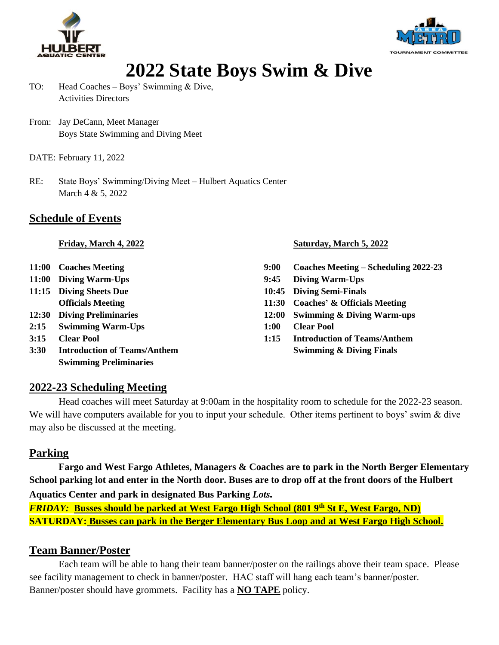



### **2022 State Boys Swim & Dive**

- TO: Head Coaches Boys' Swimming & Dive, Activities Directors
- From: Jay DeCann, Meet Manager Boys State Swimming and Diving Meet
- DATE: February 11, 2022
- RE: State Boys' Swimming/Diving Meet Hulbert Aquatics Center March 4 & 5, 2022

#### **Schedule of Events**

- 
- 
- 
- 
- **2:15 Swimming Warm-Ups 1:00 Clear Pool**
- 
- **3:30 Introduction of Teams/Anthem Swimming & Diving Finals Swimming Preliminaries**

#### **Friday, March 4, 2022 Saturday, March 5, 2022**

- **11:00 Coaches Meeting 9:00 Coaches Meeting – Scheduling 2022-23**
- **11:00 Diving Warm-Ups 9:45 Diving Warm-Ups**
- **11:15 Diving Sheets Due 10:45 Diving Semi-Finals**
	- **Officials Meeting 11:30 Coaches' & Officials Meeting**
- **12:30 Diving Preliminaries 12:00 Swimming & Diving Warm-ups**
	-
- **3:15 Clear Pool 1:15 Introduction of Teams/Anthem**

#### **2022-23 Scheduling Meeting**

Head coaches will meet Saturday at 9:00am in the hospitality room to schedule for the 2022-23 season. We will have computers available for you to input your schedule. Other items pertinent to boys' swim & dive may also be discussed at the meeting.

#### **Parking**

**Fargo and West Fargo Athletes, Managers & Coaches are to park in the North Berger Elementary School parking lot and enter in the North door. Buses are to drop off at the front doors of the Hulbert Aquatics Center and park in designated Bus Parking** *Lots.* 

*FRIDAY:* **Busses should be parked at West Fargo High School (801 9th St E, West Fargo, ND) SATURDAY: Busses can park in the Berger Elementary Bus Loop and at West Fargo High School.**

#### **Team Banner/Poster**

Each team will be able to hang their team banner/poster on the railings above their team space. Please see facility management to check in banner/poster. HAC staff will hang each team's banner/poster. Banner/poster should have grommets. Facility has a **NO TAPE** policy.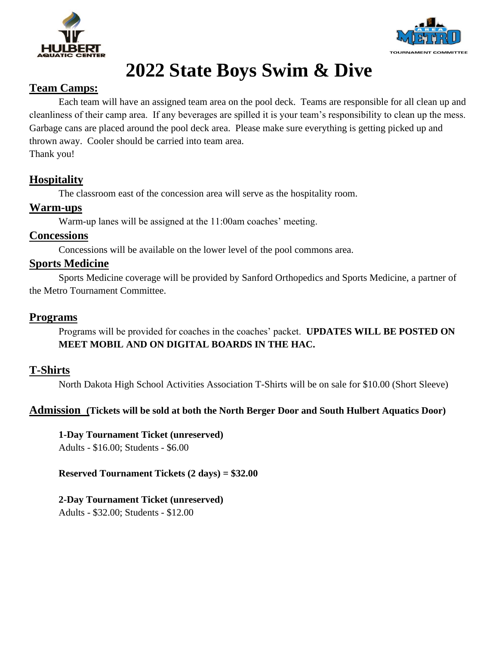



# **2022 State Boys Swim & Dive**

#### **Team Camps:**

Each team will have an assigned team area on the pool deck. Teams are responsible for all clean up and cleanliness of their camp area. If any beverages are spilled it is your team's responsibility to clean up the mess. Garbage cans are placed around the pool deck area. Please make sure everything is getting picked up and thrown away. Cooler should be carried into team area.

Thank you!

### **Hospitality**

The classroom east of the concession area will serve as the hospitality room.

#### **Warm-ups**

Warm-up lanes will be assigned at the 11:00am coaches' meeting.

#### **Concessions**

Concessions will be available on the lower level of the pool commons area.

#### **Sports Medicine**

Sports Medicine coverage will be provided by Sanford Orthopedics and Sports Medicine, a partner of the Metro Tournament Committee.

#### **Programs**

Programs will be provided for coaches in the coaches' packet. **UPDATES WILL BE POSTED ON MEET MOBIL AND ON DIGITAL BOARDS IN THE HAC.** 

#### **T-Shirts**

North Dakota High School Activities Association T-Shirts will be on sale for \$10.00 (Short Sleeve)

#### **Admission (Tickets will be sold at both the North Berger Door and South Hulbert Aquatics Door)**

**1-Day Tournament Ticket (unreserved)**

Adults - \$16.00; Students - \$6.00

**Reserved Tournament Tickets (2 days) = \$32.00**

**2-Day Tournament Ticket (unreserved)**

Adults - \$32.00; Students - \$12.00